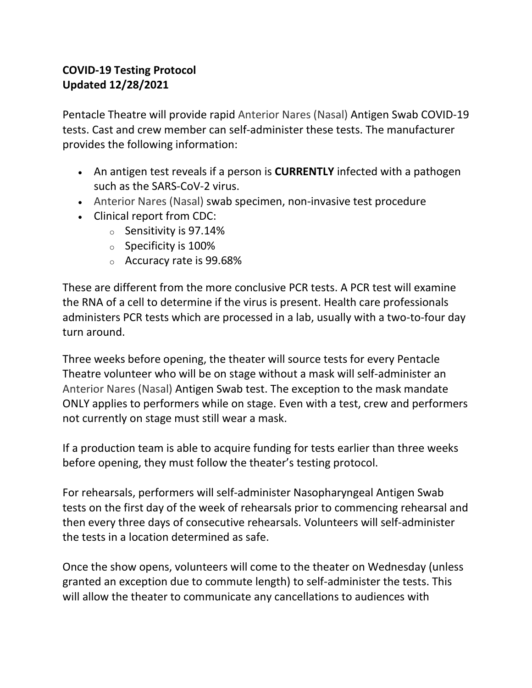## **COVID-19 Testing Protocol Updated 12/28/2021**

Pentacle Theatre will provide rapid Anterior Nares (Nasal) Antigen Swab COVID-19 tests. Cast and crew member can self-administer these tests. The manufacturer provides the following information:

- An antigen test reveals if a person is **CURRENTLY** infected with a pathogen such as the SARS-CoV-2 virus.
- Anterior Nares (Nasal) swab specimen, non-invasive test procedure
- Clinical report from CDC:
	- <sup>o</sup> Sensitivity is 97.14%
	- <sup>o</sup> Specificity is 100%
	- <sup>o</sup> Accuracy rate is 99.68%

These are different from the more conclusive PCR tests. A PCR test will examine the RNA of a cell to determine if the virus is present. Health care professionals administers PCR tests which are processed in a lab, usually with a two-to-four day turn around.

Three weeks before opening, the theater will source tests for every Pentacle Theatre volunteer who will be on stage without a mask will self-administer an Anterior Nares (Nasal) Antigen Swab test. The exception to the mask mandate ONLY applies to performers while on stage. Even with a test, crew and performers not currently on stage must still wear a mask.

If a production team is able to acquire funding for tests earlier than three weeks before opening, they must follow the theater's testing protocol.

For rehearsals, performers will self-administer Nasopharyngeal Antigen Swab tests on the first day of the week of rehearsals prior to commencing rehearsal and then every three days of consecutive rehearsals. Volunteers will self-administer the tests in a location determined as safe.

Once the show opens, volunteers will come to the theater on Wednesday (unless granted an exception due to commute length) to self-administer the tests. This will allow the theater to communicate any cancellations to audiences with